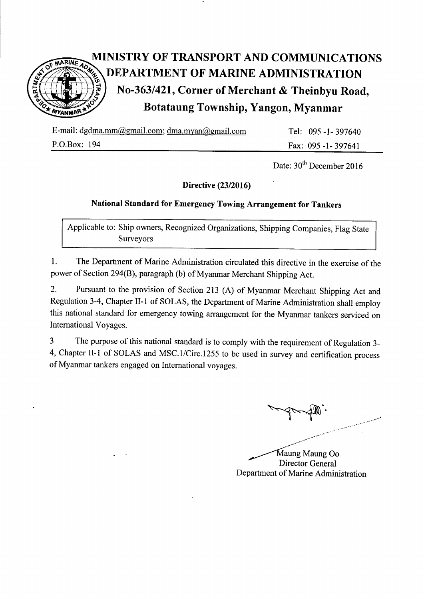

# MINISTRY OF TRANSPORT AND COMMUNICATIONS DEPARTMENT OF MARINE ADMINISTRATION No-363/421, Corner of Merchant & Theinbyu Road, Botataung Township, Yangon, Myanmar

E-mail: dgdma.mm@gmail.com; dma.myan@gmail.com

P.O.Box: 194

Tel: 095 -l- 397640 Fax: 095 -l-397641

Date:  $30<sup>th</sup>$  December 2016

# Directive (23/2016)

# National standard for Emergency Towing Arrangement for Tankers

Applicable to: Ship owners, Recognized Organizations, Shipping Companies, Flag State Survevors

l. The Department of Marine Administration circulated this directive in the exercise of the power of section 294(8), paragraph (b) of Myanmar Merchant Shipping Act.

2. Pursuant to the provision of Section 213 (A) of Myanmar Merchant Shipping Act and Regulation 3-4, Chapter II-1 of SOLAS, the Department of Marine Administration shall employ this national standard for emergency towing arrangement for the Myanmar tankers serviced on International Voyages.

3 The purpose of this national standard is to comply with the requirement of Regulation 3- 4, Chapter II-1 of SOLAS and MSC.1/Circ.1255 to be used in survey and certification process of Myanmar tankers engaged on International voyages.

Y-fl'.

Maung Maung Oo Director General Department of Marine Administration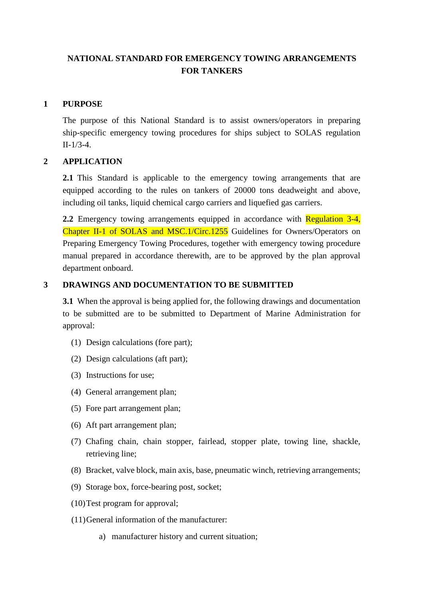# **NATIONAL STANDARD FOR EMERGENCY TOWING ARRANGEMENTS FOR TANKERS**

## **1 PURPOSE**

The purpose of this National Standard is to assist owners/operators in preparing ship-specific emergency towing procedures for ships subject to SOLAS regulation II-1/3-4.

## **2 APPLICATION**

**2.1** This Standard is applicable to the emergency towing arrangements that are equipped according to the rules on tankers of 20000 tons deadweight and above, including oil tanks, liquid chemical cargo carriers and liquefied gas carriers.

**2.2** Emergency towing arrangements equipped in accordance with **Regulation 3-4**, Chapter II-1 of SOLAS and MSC.1/Circ.1255 Guidelines for Owners/Operators on Preparing Emergency Towing Procedures, together with emergency towing procedure manual prepared in accordance therewith, are to be approved by the plan approval department onboard.

## **3 DRAWINGS AND DOCUMENTATION TO BE SUBMITTED**

**3.1** When the approval is being applied for, the following drawings and documentation to be submitted are to be submitted to Department of Marine Administration for approval:

- (1) Design calculations (fore part);
- (2) Design calculations (aft part);
- (3) Instructions for use;
- (4) General arrangement plan;
- (5) Fore part arrangement plan;
- (6) Aft part arrangement plan;
- (7) Chafing chain, chain stopper, fairlead, stopper plate, towing line, shackle, retrieving line;
- (8) Bracket, valve block, main axis, base, pneumatic winch, retrieving arrangements;
- (9) Storage box, force-bearing post, socket;
- (10)Test program for approval;
- (11)General information of the manufacturer:
	- a) manufacturer history and current situation;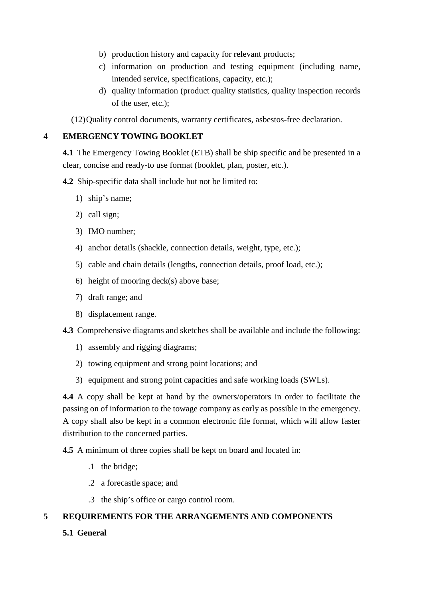- b) production history and capacity for relevant products;
- c) information on production and testing equipment (including name, intended service, specifications, capacity, etc.);
- d) quality information (product quality statistics, quality inspection records of the user, etc.);

(12)Quality control documents, warranty certificates, asbestos-free declaration.

## **4 EMERGENCY TOWING BOOKLET**

**4.1** The Emergency Towing Booklet (ETB) shall be ship specific and be presented in a clear, concise and ready-to use format (booklet, plan, poster, etc.).

## **4.2** Ship-specific data shall include but not be limited to:

- 1) ship's name;
- 2) call sign;
- 3) IMO number;
- 4) anchor details (shackle, connection details, weight, type, etc.);
- 5) cable and chain details (lengths, connection details, proof load, etc.);
- 6) height of mooring deck(s) above base;
- 7) draft range; and
- 8) displacement range.

**4.3** Comprehensive diagrams and sketches shall be available and include the following:

- 1) assembly and rigging diagrams;
- 2) towing equipment and strong point locations; and
- 3) equipment and strong point capacities and safe working loads (SWLs).

**4.4** A copy shall be kept at hand by the owners/operators in order to facilitate the passing on of information to the towage company as early as possible in the emergency. A copy shall also be kept in a common electronic file format, which will allow faster distribution to the concerned parties.

**4.5** A minimum of three copies shall be kept on board and located in:

- .1 the bridge;
- .2 a forecastle space; and
- .3 the ship's office or cargo control room.

# **5 REQUIREMENTS FOR THE ARRANGEMENTS AND COMPONENTS**

**5.1 General**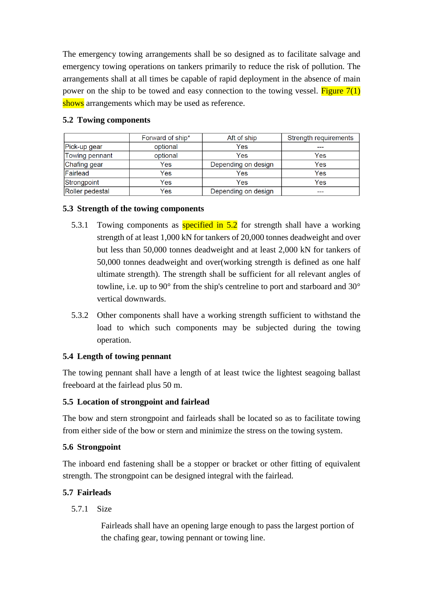The emergency towing arrangements shall be so designed as to facilitate salvage and emergency towing operations on tankers primarily to reduce the risk of pollution. The arrangements shall at all times be capable of rapid deployment in the absence of main power on the ship to be towed and easy connection to the towing vessel. Figure  $7(1)$ shows arrangements which may be used as reference.

|                 | Forward of ship* | Aft of ship         | Strength requirements |
|-----------------|------------------|---------------------|-----------------------|
| Pick-up gear    | optional         | Yes                 |                       |
| Towing pennant  | optional         | Yes                 | Yes                   |
| Chafing gear    | Yes              | Depending on design | Yes                   |
| Fairlead        | Yes              | Yes                 | Yes                   |
| Strongpoint     | Yes              | Yes                 | Yes                   |
| Roller pedestal | Yes              | Depending on design | ---                   |

#### **5.2 Towing components**

#### **5.3 Strength of the towing components**

- 5.3.1 Towing components as **specified in 5.2** for strength shall have a working strength of at least 1,000 kN for tankers of 20,000 tonnes deadweight and over but less than 50,000 tonnes deadweight and at least 2,000 kN for tankers of 50,000 tonnes deadweight and over(working strength is defined as one half ultimate strength). The strength shall be sufficient for all relevant angles of towline, i.e. up to 90° from the ship's centreline to port and starboard and 30° vertical downwards.
- 5.3.2 Other components shall have a working strength sufficient to withstand the load to which such components may be subjected during the towing operation.

#### **5.4 Length of towing pennant**

The towing pennant shall have a length of at least twice the lightest seagoing ballast freeboard at the fairlead plus 50 m.

#### **5.5 Location of strongpoint and fairlead**

The bow and stern strongpoint and fairleads shall be located so as to facilitate towing from either side of the bow or stern and minimize the stress on the towing system.

#### **5.6 Strongpoint**

The inboard end fastening shall be a stopper or bracket or other fitting of equivalent strength. The strongpoint can be designed integral with the fairlead.

#### **5.7 Fairleads**

5.7.1 Size

Fairleads shall have an opening large enough to pass the largest portion of the chafing gear, towing pennant or towing line.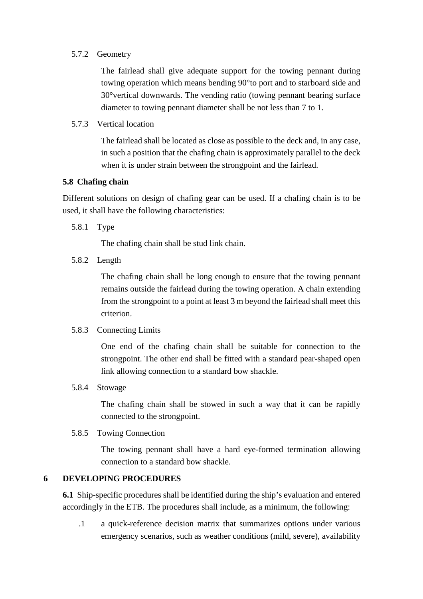#### 5.7.2 Geometry

The fairlead shall give adequate support for the towing pennant during towing operation which means bending 90°to port and to starboard side and 30°vertical downwards. The vending ratio (towing pennant bearing surface diameter to towing pennant diameter shall be not less than 7 to 1.

5.7.3 Vertical location

The fairlead shall be located as close as possible to the deck and, in any case, in such a position that the chafing chain is approximately parallel to the deck when it is under strain between the strongpoint and the fairlead.

#### **5.8 Chafing chain**

Different solutions on design of chafing gear can be used. If a chafing chain is to be used, it shall have the following characteristics:

5.8.1 Type

The chafing chain shall be stud link chain.

5.8.2 Length

The chafing chain shall be long enough to ensure that the towing pennant remains outside the fairlead during the towing operation. A chain extending from the strongpoint to a point at least 3 m beyond the fairlead shall meet this criterion.

#### 5.8.3 Connecting Limits

One end of the chafing chain shall be suitable for connection to the strongpoint. The other end shall be fitted with a standard pear-shaped open link allowing connection to a standard bow shackle.

5.8.4 Stowage

The chafing chain shall be stowed in such a way that it can be rapidly connected to the strongpoint.

#### 5.8.5 Towing Connection

The towing pennant shall have a hard eye-formed termination allowing connection to a standard bow shackle.

#### **6 DEVELOPING PROCEDURES**

**6.1** Ship-specific procedures shall be identified during the ship's evaluation and entered accordingly in the ETB. The procedures shall include, as a minimum, the following:

.1 a quick-reference decision matrix that summarizes options under various emergency scenarios, such as weather conditions (mild, severe), availability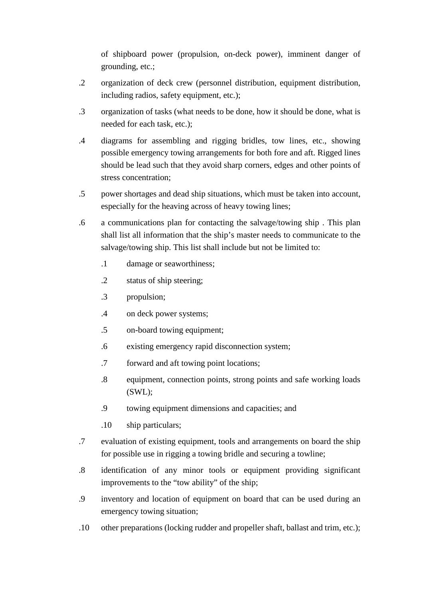of shipboard power (propulsion, on-deck power), imminent danger of grounding, etc.;

- .2 organization of deck crew (personnel distribution, equipment distribution, including radios, safety equipment, etc.);
- .3 organization of tasks (what needs to be done, how it should be done, what is needed for each task, etc.);
- .4 diagrams for assembling and rigging bridles, tow lines, etc., showing possible emergency towing arrangements for both fore and aft. Rigged lines should be lead such that they avoid sharp corners, edges and other points of stress concentration;
- .5 power shortages and dead ship situations, which must be taken into account, especially for the heaving across of heavy towing lines;
- .6 a communications plan for contacting the salvage/towing ship . This plan shall list all information that the ship's master needs to communicate to the salvage/towing ship. This list shall include but not be limited to:
	- .1 damage or seaworthiness;
	- .2 status of ship steering;
	- .3 propulsion;
	- .4 on deck power systems;
	- .5 on-board towing equipment;
	- .6 existing emergency rapid disconnection system;
	- .7 forward and aft towing point locations;
	- .8 equipment, connection points, strong points and safe working loads (SWL);
	- .9 towing equipment dimensions and capacities; and
	- .10 ship particulars;
- .7 evaluation of existing equipment, tools and arrangements on board the ship for possible use in rigging a towing bridle and securing a towline;
- .8 identification of any minor tools or equipment providing significant improvements to the "tow ability" of the ship;
- .9 inventory and location of equipment on board that can be used during an emergency towing situation;
- .10 other preparations (locking rudder and propeller shaft, ballast and trim, etc.);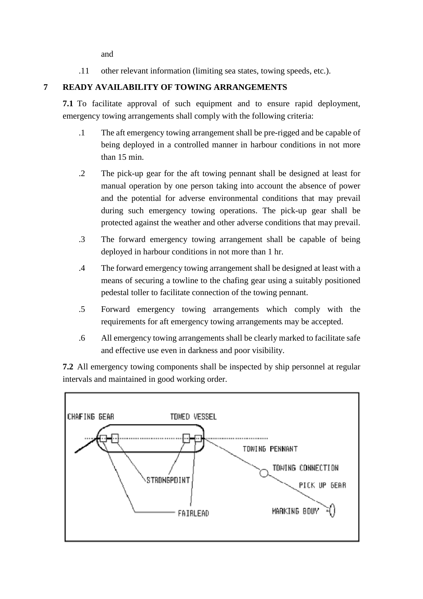and

.11 other relevant information (limiting sea states, towing speeds, etc.).

# **7 READY AVAILABILITY OF TOWING ARRANGEMENTS**

**7.1** To facilitate approval of such equipment and to ensure rapid deployment, emergency towing arrangements shall comply with the following criteria:

- .1 The aft emergency towing arrangement shall be pre-rigged and be capable of being deployed in a controlled manner in harbour conditions in not more than 15 min.
- .2 The pick-up gear for the aft towing pennant shall be designed at least for manual operation by one person taking into account the absence of power and the potential for adverse environmental conditions that may prevail during such emergency towing operations. The pick-up gear shall be protected against the weather and other adverse conditions that may prevail.
- .3 The forward emergency towing arrangement shall be capable of being deployed in harbour conditions in not more than 1 hr.
- .4 The forward emergency towing arrangement shall be designed at least with a means of securing a towline to the chafing gear using a suitably positioned pedestal toller to facilitate connection of the towing pennant.
- .5 Forward emergency towing arrangements which comply with the requirements for aft emergency towing arrangements may be accepted.
- .6 All emergency towing arrangements shall be clearly marked to facilitate safe and effective use even in darkness and poor visibility.

**7.2** All emergency towing components shall be inspected by ship personnel at regular intervals and maintained in good working order.

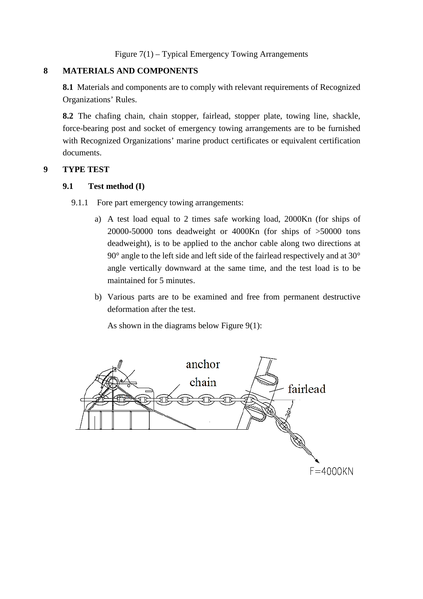Figure 7(1) – Typical Emergency Towing Arrangements

#### **8 MATERIALS AND COMPONENTS**

**8.1** Materials and components are to comply with relevant requirements of Recognized Organizations' Rules.

**8.2** The chafing chain, chain stopper, fairlead, stopper plate, towing line, shackle, force-bearing post and socket of emergency towing arrangements are to be furnished with Recognized Organizations' marine product certificates or equivalent certification documents.

#### **9 TYPE TEST**

#### **9.1 Test method (I)**

9.1.1 Fore part emergency towing arrangements:

- a) A test load equal to 2 times safe working load, 2000Kn (for ships of 20000-50000 tons deadweight or 4000Kn (for ships of >50000 tons deadweight), is to be applied to the anchor cable along two directions at 90° angle to the left side and left side of the fairlead respectively and at 30° angle vertically downward at the same time, and the test load is to be maintained for 5 minutes.
- b) Various parts are to be examined and free from permanent destructive deformation after the test.

As shown in the diagrams below Figure 9(1):

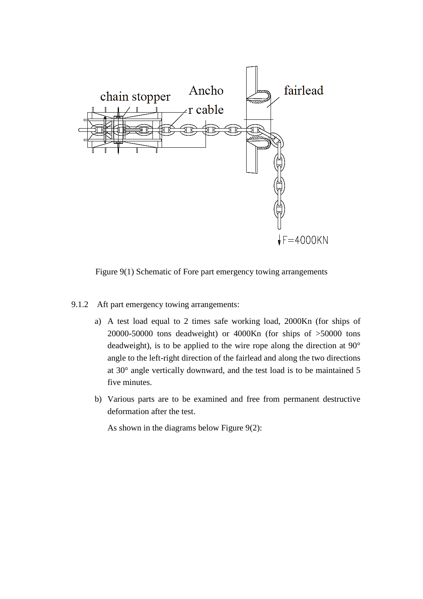

Figure 9(1) Schematic of Fore part emergency towing arrangements

- 9.1.2 Aft part emergency towing arrangements:
	- a) A test load equal to 2 times safe working load, 2000Kn (for ships of 20000-50000 tons deadweight) or 4000Kn (for ships of >50000 tons deadweight), is to be applied to the wire rope along the direction at 90° angle to the left-right direction of the fairlead and along the two directions at 30° angle vertically downward, and the test load is to be maintained 5 five minutes.
	- b) Various parts are to be examined and free from permanent destructive deformation after the test.

As shown in the diagrams below Figure 9(2):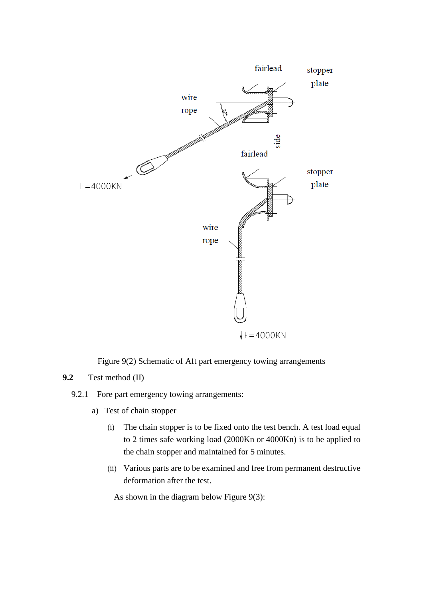

Figure 9(2) Schematic of Aft part emergency towing arrangements

## **9.2** Test method (II)

## 9.2.1 Fore part emergency towing arrangements:

- a) Test of chain stopper
	- (i) The chain stopper is to be fixed onto the test bench. A test load equal to 2 times safe working load (2000Kn or 4000Kn) is to be applied to the chain stopper and maintained for 5 minutes.
	- (ii) Various parts are to be examined and free from permanent destructive deformation after the test.

As shown in the diagram below Figure 9(3):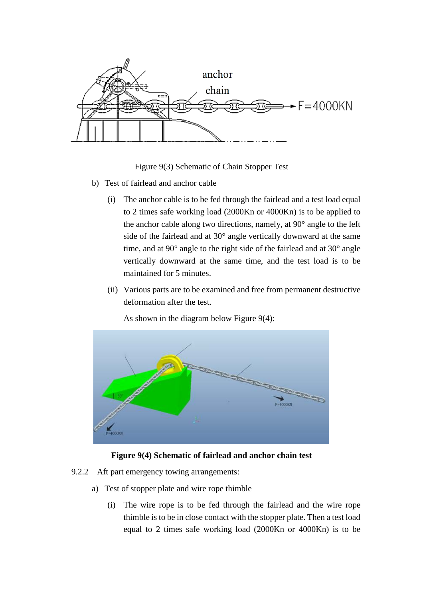

Figure 9(3) Schematic of Chain Stopper Test

- b) Test of fairlead and anchor cable
	- (i) The anchor cable is to be fed through the fairlead and a test load equal to 2 times safe working load (2000Kn or 4000Kn) is to be applied to the anchor cable along two directions, namely, at 90° angle to the left side of the fairlead and at 30° angle vertically downward at the same time, and at 90° angle to the right side of the fairlead and at 30° angle vertically downward at the same time, and the test load is to be maintained for 5 minutes.
	- (ii) Various parts are to be examined and free from permanent destructive deformation after the test.

As shown in the diagram below Figure 9(4):



**Figure 9(4) Schematic of fairlead and anchor chain test**

- 9.2.2 Aft part emergency towing arrangements:
	- a) Test of stopper plate and wire rope thimble
		- (i) The wire rope is to be fed through the fairlead and the wire rope thimble is to be in close contact with the stopper plate. Then a test load equal to 2 times safe working load (2000Kn or 4000Kn) is to be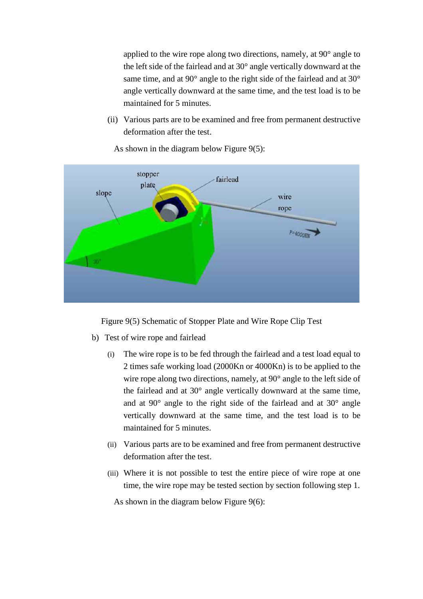applied to the wire rope along two directions, namely, at 90° angle to the left side of the fairlead and at 30° angle vertically downward at the same time, and at 90° angle to the right side of the fairlead and at 30° angle vertically downward at the same time, and the test load is to be maintained for 5 minutes.

(ii) Various parts are to be examined and free from permanent destructive deformation after the test.



As shown in the diagram below Figure 9(5):

Figure 9(5) Schematic of Stopper Plate and Wire Rope Clip Test

- b) Test of wire rope and fairlead
	- (i) The wire rope is to be fed through the fairlead and a test load equal to 2 times safe working load (2000Kn or 4000Kn) is to be applied to the wire rope along two directions, namely, at 90° angle to the left side of the fairlead and at 30° angle vertically downward at the same time, and at 90° angle to the right side of the fairlead and at 30° angle vertically downward at the same time, and the test load is to be maintained for 5 minutes.
	- (ii) Various parts are to be examined and free from permanent destructive deformation after the test.
	- (iii) Where it is not possible to test the entire piece of wire rope at one time, the wire rope may be tested section by section following step 1.

As shown in the diagram below Figure 9(6):